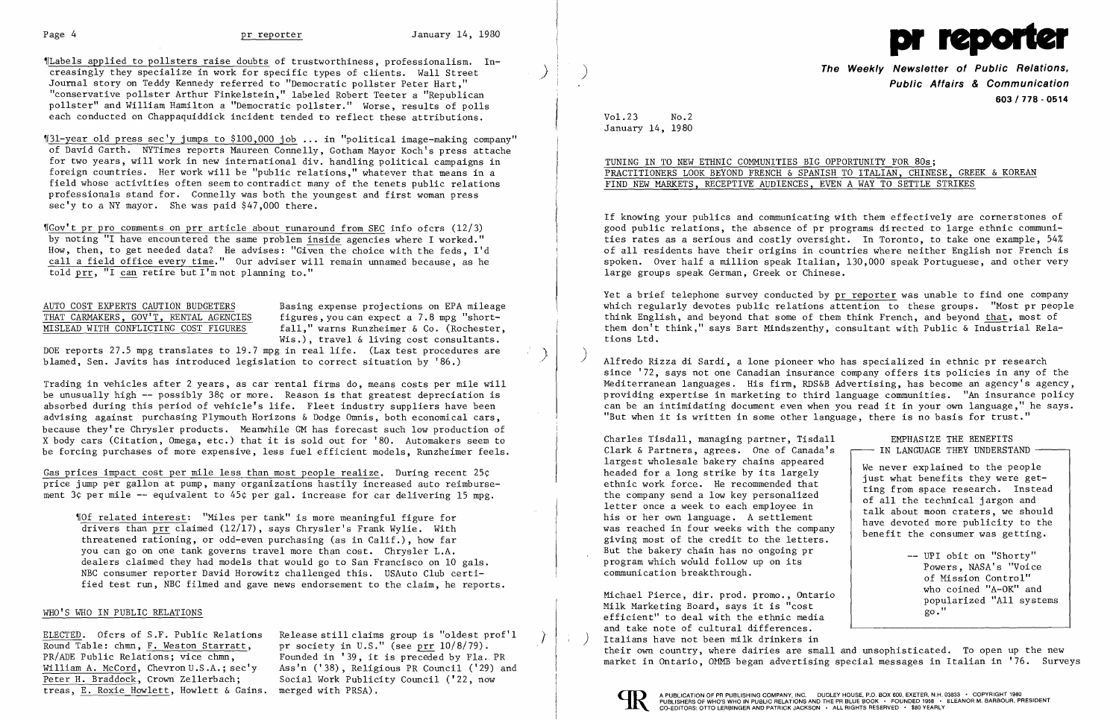

)

'fLabels applied to pollsters raise doubts of trustworthiness, professionalism. Increasingly they specialize in work for specific types of clients. Wall Street Journal story on Teddy Kennedy referred to "Democratic pollster Peter Hart," "conservative pollster Arthur Finkelstein," labeled Robert Teeter a "Republican pollster" and William Hamilton a "Democratic pollster." Worse, results of polls each conducted on Chappaquiddick incident tended to reflect these attributions.

~f3l-year old press sec'y jumps to \$100,000 job ..• in "political image-making company" of David Garth. NYTimes reports Maureen Connelly, Gotham Mayor Koch's press attache for two years, will work in new international div. handling political campaigns in foreign countries. Her work will be "public relations," whatever that means in a field whose activities often seem to contradict many of the tenets public relations professionals stand for. Connelly was both the youngest and first woman press sec'y to a NY mayor. She was paid \$47,000 there.

THAT CARMAKERS, GOV'T, RENTAL AGENCIES figures, you can expect a 7.8 mpg "short-<br>MISLEAD WITH CONFLICTING COST FIGURES fall." warns Runzheimer & Co. (Rochester fall," warns Runzheimer & Co. (Rochester, Wis.), travel & living cost consultants.

Gas prices impact cost per mile less than most people realize. During recent 25¢ price jump per gallon at pump, many organizations hastily increased auto reimbursement 3¢ per mile -- equivalent to 45¢ per gal. increase for car delivering 15 mpg.

'IGov't pr pro comments on prr article about runaround from SEC info ofcrs (12/3) by noting "I have encountered the same problem inside agencies where I worked." How, then, to get needed data? He advises: "Given the choice with the feds, I'd call a field office every time." Our adviser will remain unnamed because, as he told prr, "I can retire but I'mnot planning to."

,rOf related interest: "Miles per tank" is more meaningful figure for drivers than prr claimed (12/17), says Chrysler's Frank Wylie. With threatened rationing, or odd-even purchasing (as in Calif.), how far you can go on one tank governs travel more than cost. Chrysler L.A. dealers claimed they had models that would go to San Francisco on 10 gals. NBC consumer reporter David Horowitz challenged this. USAuto Club certified test run, NBC filmed and gave news endorsement to the claim, he reports.

### WHO'S WHO IN PUBLIC RELATIONS

# AUTO COST EXPERTS CAUTION BUDGETERS Basing expense projections on EPA mileage

DOE reports 27.5 mpg translates to 19.7 mpg in real life. (Lax test procedures are blamed, Sen. Javits has introduced legislation to correct situation by '86.)

**The Weekly Newsletter of Public Relations Public Affairs & Communication 603/778 - 0514** 

Trading in vehicles after 2 years, as car rental firms do, means costs per mile will be unusually high -- possibly 38¢ or more. Reason is that greatest depreciation is absorbed during this period of vehicle's life. Fleet industry suppliers have been advising against purchasing Plymouth Horizons & Dodge Omnis, both economical cars, because they're Chrysler products. Meanwhile GM has forecast such low production of X body cars (Citation, Omega, etc.) that it is sold out for '80. Automakers seem to be forcing purchases of more expensive, less fuel efficient models, Runzheimer feels.

) Alfredo Rizza di Sardi, a lone pioneer who has specialized in ethnic pr research since '72, says not one Canadian insurance company offers its policies in any of the Mediterranean languages. His firm, RDS&B Advertising, has become an agency's agency, providing expertise in marketing to third language communities. "An insurance policy can be an intimidating document even when you read it in your own language," he says. "But when it is written in some other language, there is no basis for trust."

Charles Tisdall, managing partner, Tisdal Clark & Partners, agrees. One of Canada' largest wholesale bakery chains appeared headed for a long strike by its largely ethnic work force. He recommended that the company send a low key personalized letter once a week to each employee in his or her own language. A settlement was reached in four weeks with the company giving most of the credit to the letters. But the bakery chain has no ongoing pr program which would follow up on its communication breakthrough.

Michael Pierce, dir. prod. promo., Ontario Milk Marketing Board, says it is "cost efficient" to deal with the ethnic media and take note of cultural differences. ) Italians have not been milk drinkers in popularized "All systems go." their own country, where dairies are small and unsophisticated. To open up the new market in Ontario, OMMB began advertising special messages in Italian in '76. Surveys



ELECTED. Ofcrs of S.F. Public Relations Round Table: chmn, F. Weston Starratt, PR/ADE Public Relations; vice chmn, William A. McCord, Chevron U.S.A.; sec'y Peter H. Braddock, Crown Zellerbach; treas, E. Roxie Howlett, Howlett & Gains.

Release still claims group is "oldest prof'l pr society in U.S." (see prr 10/8/79). Founded in '39, it is preceded by Fla. PR Ass'n ('38), Religious PR Council ('29) and Social Work Publicity Council ('22, now merged with PRSA).

'r, j

 $\sum_{i=1}^{n}$ 

Vo1.23 No.2 January 14, 1980

## TUNING IN TO NEW ETHNIC COMMUNITIES BIG OPPORTUNITY FOR 80s; PRACTITIONERS LOOK BEYOND FRENCH & SPANISH TO ITALIAN, CHINESE, GREEK & KOREAN FIND NEW MARKETS, RECEPTIVE AUDIENCES, EVEN A WAY TO SETTLE STRIKES

If knowing your publics and communicating with them effectively are cornerstones of good public relations, the absence of pr programs directed to large ethnic communities rates as a serious and costly oversight. In Toronto, to take one example, 54% of all residents have their origins in countries where neither English nor French is spoken. Over half a million speak Italian, 130,000 speak Portuguese, and other very large groups speak German, Greek or Chinese.

Yet a brief telephone survey conducted by pr reporter was unable to find one company which regularly devotes public relations attention to these groups. "Most pr people think English, and beyond that some of them think French, and beyond that, most of them don't think," says Bart Mindszenthy, consultant with Public & Industrial Relations Ltd.

| 1        | EMPHASTZE THE BENEFITS                                                                                                                                                                                                                                         |
|----------|----------------------------------------------------------------------------------------------------------------------------------------------------------------------------------------------------------------------------------------------------------------|
| s        | IN LANGUAGE THEY UNDERSTAND                                                                                                                                                                                                                                    |
| у        | We never explained to the people<br>just what benefits they were get-<br>ting from space research. Instead<br>of all the technical jargon and<br>talk about moon craters, we should<br>have devoted more publicity to the<br>benefit the consumer was getting. |
| $\Omega$ | -- UPI obit on "Shorty"<br>Powers, NASA's "Voice<br>of Mission Control"<br>who coined "A-OK" and<br>popularized "All systems<br>$q_0$ ."                                                                                                                       |